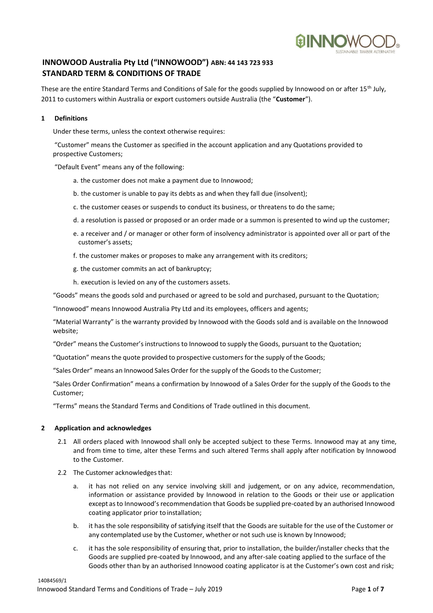

# **INNOWOOD Australia Pty Ltd ("INNOWOOD") ABN: 44 143 723 933 STANDARD TERM & CONDITIONS OF TRADE**

These are the entire Standard Terms and Conditions of Sale for the goods supplied by Innowood on or after 15<sup>th</sup> July, 2011 to customers within Australia or export customers outside Australia (the "**Customer**").

# **1 Definitions**

Under these terms, unless the context otherwise requires:

"Customer" means the Customer as specified in the account application and any Quotations provided to prospective Customers;

"Default Event" means any of the following:

- a. the customer does not make a payment due to Innowood;
- b. the customer is unable to pay its debts as and when they fall due (insolvent);
- c. the customer ceases or suspends to conduct its business, or threatens to do the same;
- d. a resolution is passed or proposed or an order made or a summon is presented to wind up the customer;
- e. a receiver and / or manager or other form of insolvency administrator is appointed over all or part of the customer's assets;
- f. the customer makes or proposes to make any arrangement with its creditors;
- g. the customer commits an act of bankruptcy;
- h. execution is levied on any of the customers assets.

"Goods" means the goods sold and purchased or agreed to be sold and purchased, pursuant to the Quotation;

"Innowood" means Innowood Australia Pty Ltd and its employees, officers and agents;

"Material Warranty" is the warranty provided by Innowood with the Goods sold and is available on the Innowood website;

"Order" meansthe Customer'sinstructions to Innowood to supply the Goods, pursuant to the Quotation;

"Quotation" meansthe quote provided to prospective customers for the supply of the Goods;

"Sales Order" means an Innowood Sales Order for the supply of the Goods to the Customer;

"Sales Order Confirmation" means a confirmation by Innowood of a Sales Order for the supply of the Goods to the Customer;

"Terms" means the Standard Terms and Conditions of Trade outlined in this document.

## **2 Application and acknowledges**

- 2.1 All orders placed with Innowood shall only be accepted subject to these Terms. Innowood may at any time, and from time to time, alter these Terms and such altered Terms shall apply after notification by Innowood to the Customer.
- 2.2 The Customer acknowledges that:
	- a. it has not relied on any service involving skill and judgement, or on any advice, recommendation, information or assistance provided by Innowood in relation to the Goods or their use or application except asto Innowood'srecommendation that Goods be supplied pre-coated by an authorised Innowood coating applicator prior to installation;
	- b. it has the sole responsibility of satisfying itself that the Goods are suitable for the use of the Customer or any contemplated use by the Customer, whether or not such use is known by Innowood;
	- c. it has the sole responsibility of ensuring that, prior to installation, the builder/installer checks that the Goods are supplied pre-coated by Innowood, and any after-sale coating applied to the surface of the Goods other than by an authorised Innowood coating applicator is at the Customer's own cost and risk;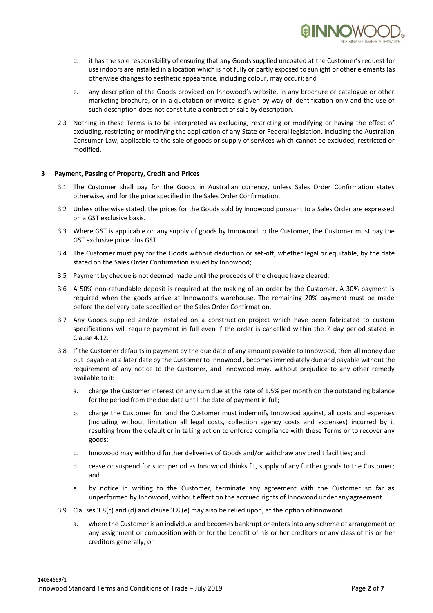

- d. it has the sole responsibility of ensuring that any Goods supplied uncoated at the Customer's request for use indoors are installed in a location which is not fully or partly exposed to sunlight or other elements (as otherwise changes to aesthetic appearance, including colour, may occur); and
- e. any description of the Goods provided on Innowood's website, in any brochure or catalogue or other marketing brochure, or in a quotation or invoice is given by way of identification only and the use of such description does not constitute a contract of sale by description.
- 2.3 Nothing in these Terms is to be interpreted as excluding, restricting or modifying or having the effect of excluding, restricting or modifying the application of any State or Federal legislation, including the Australian Consumer Law, applicable to the sale of goods or supply of services which cannot be excluded, restricted or modified.

## **3 Payment, Passing of Property, Credit and Prices**

- 3.1 The Customer shall pay for the Goods in Australian currency, unless Sales Order Confirmation states otherwise, and for the price specified in the Sales Order Confirmation.
- 3.2 Unless otherwise stated, the prices for the Goods sold by Innowood pursuant to a Sales Order are expressed on a GST exclusive basis.
- 3.3 Where GST is applicable on any supply of goods by Innowood to the Customer, the Customer must pay the GST exclusive price plus GST.
- 3.4 The Customer must pay for the Goods without deduction or set-off, whether legal or equitable, by the date stated on the Sales Order Confirmation issued by Innowood;
- 3.5 Payment by cheque is not deemed made until the proceeds of the cheque have cleared.
- 3.6 A 50% non-refundable deposit is required at the making of an order by the Customer. A 30% payment is required when the goods arrive at Innowood's warehouse. The remaining 20% payment must be made before the delivery date specified on the Sales Order Confirmation.
- 3.7 Any Goods supplied and/or installed on a construction project which have been fabricated to custom specifications will require payment in full even if the order is cancelled within the 7 day period stated in Clause 4.12.
- 3.8 If the Customer defaults in payment by the due date of any amount payable to Innowood, then all money due but payable at a later date by the Customer to Innowood , becomesimmediately due and payable without the requirement of any notice to the Customer, and Innowood may, without prejudice to any other remedy available to it:
	- a. charge the Customer interest on any sum due at the rate of 1.5% per month on the outstanding balance for the period from the due date until the date of payment in full;
	- b. charge the Customer for, and the Customer must indemnify Innowood against, all costs and expenses (including without limitation all legal costs, collection agency costs and expenses) incurred by it resulting from the default or in taking action to enforce compliance with these Terms or to recover any goods;
	- c. Innowood may withhold further deliveries of Goods and/or withdraw any credit facilities; and
	- d. cease or suspend for such period as Innowood thinks fit, supply of any further goods to the Customer; and
	- e. by notice in writing to the Customer, terminate any agreement with the Customer so far as unperformed by Innowood, without effect on the accrued rights of Innowood under any agreement.
- 3.9 Clauses 3.8(c) and (d) and clause 3.8 (e) may also be relied upon, at the option of Innowood:
	- a. where the Customer is an individual and becomes bankrupt or enters into any scheme of arrangement or any assignment or composition with or for the benefit of his or her creditors or any class of his or her creditors generally; or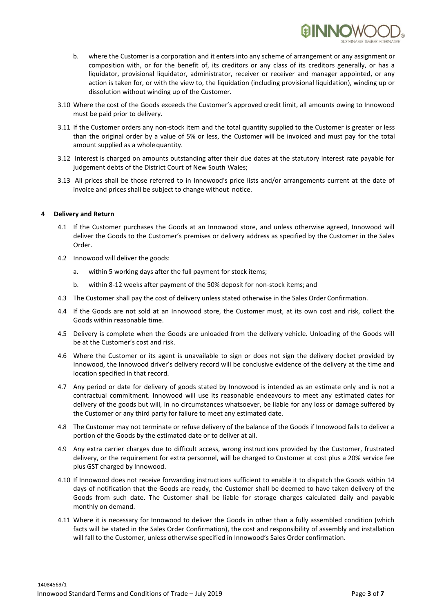

- b. where the Customer is a corporation and it enters into any scheme of arrangement or any assignment or composition with, or for the benefit of, its creditors or any class of its creditors generally, or has a liquidator, provisional liquidator, administrator, receiver or receiver and manager appointed, or any action is taken for, or with the view to, the liquidation (including provisional liquidation), winding up or dissolution without winding up of the Customer.
- 3.10 Where the cost of the Goods exceeds the Customer's approved credit limit, all amounts owing to Innowood must be paid prior to delivery.
- 3.11 If the Customer orders any non-stock item and the total quantity supplied to the Customer is greater or less than the original order by a value of 5% or less, the Customer will be invoiced and must pay for the total amount supplied as a wholequantity.
- 3.12 Interest is charged on amounts outstanding after their due dates at the statutory interest rate payable for judgement debts of the District Court of New South Wales;
- 3.13 All prices shall be those referred to in Innowood's price lists and/or arrangements current at the date of invoice and prices shall be subject to change without notice.

# **4 Delivery and Return**

- 4.1 If the Customer purchases the Goods at an Innowood store, and unless otherwise agreed, Innowood will deliver the Goods to the Customer's premises or delivery address as specified by the Customer in the Sales Order.
- 4.2 Innowood will deliver the goods:
	- a. within 5 working days after the full payment for stock items;
	- b. within 8-12 weeks after payment of the 50% deposit for non-stock items; and
- 4.3 The Customer shall pay the cost of delivery unless stated otherwise in the Sales Order Confirmation.
- 4.4 If the Goods are not sold at an Innowood store, the Customer must, at its own cost and risk, collect the Goods within reasonable time.
- 4.5 Delivery is complete when the Goods are unloaded from the delivery vehicle. Unloading of the Goods will be at the Customer's cost and risk.
- 4.6 Where the Customer or its agent is unavailable to sign or does not sign the delivery docket provided by Innowood, the Innowood driver's delivery record will be conclusive evidence of the delivery at the time and location specified in that record.
- 4.7 Any period or date for delivery of goods stated by Innowood is intended as an estimate only and is not a contractual commitment. Innowood will use its reasonable endeavours to meet any estimated dates for delivery of the goods but will, in no circumstances whatsoever, be liable for any loss or damage suffered by the Customer or any third party for failure to meet any estimated date.
- 4.8 The Customer may not terminate or refuse delivery of the balance of the Goods if Innowood fails to deliver a portion of the Goods by the estimated date or to deliver at all.
- 4.9 Any extra carrier charges due to difficult access, wrong instructions provided by the Customer, frustrated delivery, or the requirement for extra personnel, will be charged to Customer at cost plus a 20% service fee plus GST charged by Innowood.
- 4.10 If Innowood does not receive forwarding instructions sufficient to enable it to dispatch the Goods within 14 days of notification that the Goods are ready, the Customer shall be deemed to have taken delivery of the Goods from such date. The Customer shall be liable for storage charges calculated daily and payable monthly on demand.
- 4.11 Where it is necessary for Innowood to deliver the Goods in other than a fully assembled condition (which facts will be stated in the Sales Order Confirmation), the cost and responsibility of assembly and installation will fall to the Customer, unless otherwise specified in Innowood's Sales Order confirmation.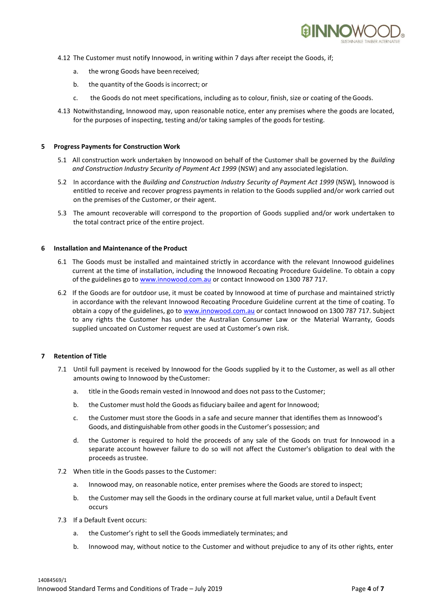

- 4.12 The Customer must notify Innowood, in writing within 7 days after receipt the Goods, if;
	- a. the wrong Goods have been received;
	- b. the quantity of the Goods is incorrect; or
	- c. the Goods do not meet specifications, including as to colour, finish, size or coating of theGoods.
- 4.13 Notwithstanding, Innowood may, upon reasonable notice, enter any premises where the goods are located, for the purposes of inspecting, testing and/or taking samples of the goods fortesting.

#### **5 Progress Payments for Construction Work**

- 5.1 All construction work undertaken by Innowood on behalf of the Customer shall be governed by the *Building and Construction Industry Security of Payment Act 1999* (NSW) and any associated legislation.
- 5.2 In accordance with the *Building and Construction Industry Security of Payment Act 1999* (NSW)*,* Innowood is entitled to receive and recover progress payments in relation to the Goods supplied and/or work carried out on the premises of the Customer, or their agent.
- 5.3 The amount recoverable will correspond to the proportion of Goods supplied and/or work undertaken to the total contract price of the entire project.

#### **6 Installation and Maintenance of the Product**

- 6.1 The Goods must be installed and maintained strictly in accordance with the relevant Innowood guidelines current at the time of installation, including the Innowood Recoating Procedure Guideline. To obtain a copy of the guidelines go to [www.innowood.com.au](http://www.innowood.com.au/) or contact Innowood on 1300 787 717.
- 6.2 If the Goods are for outdoor use, it must be coated by Innowood at time of purchase and maintained strictly in accordance with the relevant Innowood Recoating Procedure Guideline current at the time of coating. To obtain a copy of the guidelines, go to [www.innowood.com.au](http://www.innowood.com.au/) or contact Innowood on 1300 787 717. Subject to any rights the Customer has under the Australian Consumer Law or the Material Warranty, Goods supplied uncoated on Customer request are used at Customer's own risk.

## **7 Retention of Title**

- 7.1 Until full payment is received by Innowood for the Goods supplied by it to the Customer, as well as all other amounts owing to Innowood by theCustomer:
	- a. title in the Goods remain vested in Innowood and does not pass to the Customer;
	- b. the Customer must hold the Goods asfiduciary bailee and agent for Innowood;
	- c. the Customer must store the Goods in a safe and secure manner that identifies them as Innowood's Goods, and distinguishable from other goodsin the Customer's possession; and
	- d. the Customer is required to hold the proceeds of any sale of the Goods on trust for Innowood in a separate account however failure to do so will not affect the Customer's obligation to deal with the proceeds astrustee.
- 7.2 When title in the Goods passes to the Customer:
	- a. Innowood may, on reasonable notice, enter premises where the Goods are stored to inspect;
	- b. the Customer may sell the Goods in the ordinary course at full market value, until a Default Event occurs
- 7.3 If a Default Event occurs:
	- a. the Customer's right to sell the Goods immediately terminates; and
	- b. Innowood may, without notice to the Customer and without prejudice to any of its other rights, enter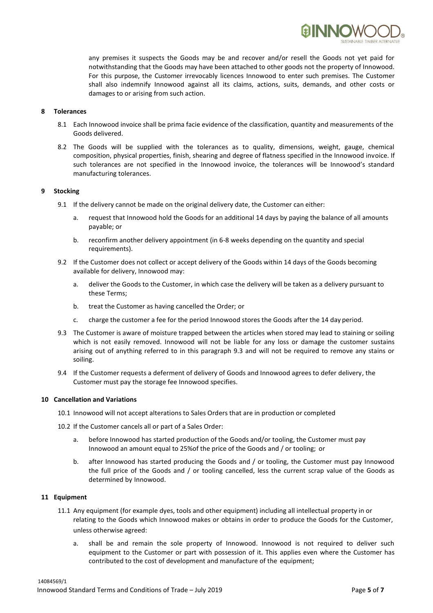

## **8 Tolerances**

- 8.1 Each Innowood invoice shall be prima facie evidence of the classification, quantity and measurements of the Goods delivered.
- 8.2 The Goods will be supplied with the tolerances as to quality, dimensions, weight, gauge, chemical composition, physical properties, finish, shearing and degree of flatness specified in the Innowood invoice. If such tolerances are not specified in the Innowood invoice, the tolerances will be Innowood's standard manufacturing tolerances.

## **9 Stocking**

- 9.1 If the delivery cannot be made on the original delivery date, the Customer can either:
	- a. request that Innowood hold the Goods for an additional 14 days by paying the balance of all amounts payable; or
	- b. reconfirm another delivery appointment (in 6-8 weeks depending on the quantity and special requirements).
- 9.2 If the Customer does not collect or accept delivery of the Goods within 14 days of the Goods becoming available for delivery, Innowood may:
	- a. deliver the Goods to the Customer, in which case the delivery will be taken as a delivery pursuant to these Terms;
	- b. treat the Customer as having cancelled the Order; or
	- c. charge the customer a fee for the period Innowood stores the Goods after the 14 day period.
- 9.3 The Customer is aware of moisture trapped between the articles when stored may lead to staining or soiling which is not easily removed. Innowood will not be liable for any loss or damage the customer sustains arising out of anything referred to in this paragraph 9.3 and will not be required to remove any stains or soiling.
- 9.4 If the Customer requests a deferment of delivery of Goods and Innowood agrees to defer delivery, the Customer must pay the storage fee Innowood specifies.

## **10 Cancellation and Variations**

- 10.1 Innowood will not accept alterations to Sales Orders that are in production or completed
- 10.2 If the Customer cancels all or part of a Sales Order:
	- a. before Innowood has started production of the Goods and/or tooling, the Customer must pay Innowood an amount equal to 25%of the price of the Goods and / or tooling; or
	- b. after Innowood has started producing the Goods and / or tooling, the Customer must pay Innowood the full price of the Goods and / or tooling cancelled, less the current scrap value of the Goods as determined by Innowood.

## **11 Equipment**

- 11.1 Any equipment (for example dyes, tools and other equipment) including all intellectual property in or relating to the Goods which Innowood makes or obtains in order to produce the Goods for the Customer, unless otherwise agreed:
	- a. shall be and remain the sole property of Innowood. Innowood is not required to deliver such equipment to the Customer or part with possession of it. This applies even where the Customer has contributed to the cost of development and manufacture of the equipment;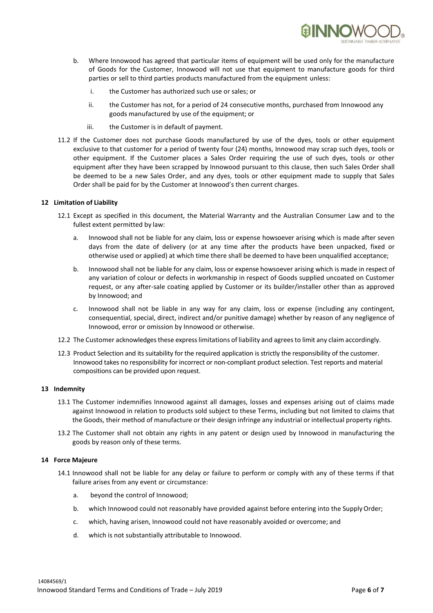

- b. Where Innowood has agreed that particular items of equipment will be used only for the manufacture of Goods for the Customer, Innowood will not use that equipment to manufacture goods for third parties or sell to third parties products manufactured from the equipment unless:
	- i. the Customer has authorized such use or sales; or
	- ii. the Customer has not, for a period of 24 consecutive months, purchased from Innowood any goods manufactured by use of the equipment; or
	- iii. the Customer is in default of payment.
- 11.2 If the Customer does not purchase Goods manufactured by use of the dyes, tools or other equipment exclusive to that customer for a period of twenty four (24) months, Innowood may scrap such dyes, tools or other equipment. If the Customer places a Sales Order requiring the use of such dyes, tools or other equipment after they have been scrapped by Innowood pursuant to this clause, then such Sales Order shall be deemed to be a new Sales Order, and any dyes, tools or other equipment made to supply that Sales Order shall be paid for by the Customer at Innowood's then current charges.

## **12 Limitation of Liability**

- 12.1 Except as specified in this document, the Material Warranty and the Australian Consumer Law and to the fullest extent permitted by law:
	- a. Innowood shall not be liable for any claim, loss or expense howsoever arising which is made after seven days from the date of delivery (or at any time after the products have been unpacked, fixed or otherwise used or applied) at which time there shall be deemed to have been unqualified acceptance;
	- b. Innowood shall not be liable for any claim, loss or expense howsoever arising which is made in respect of any variation of colour or defects in workmanship in respect of Goods supplied uncoated on Customer request, or any after-sale coating applied by Customer or its builder/installer other than as approved by Innowood; and
	- c. Innowood shall not be liable in any way for any claim, loss or expense (including any contingent, consequential, special, direct, indirect and/or punitive damage) whether by reason of any negligence of Innowood, error or omission by Innowood or otherwise.
- 12.2 The Customer acknowledges these express limitations of liability and agrees to limit any claim accordingly.
- 12.3 Product Selection and its suitability for the required application is strictly the responsibility of the customer. Innowood takes no responsibility for incorrect or non-compliant product selection. Test reports and material compositions can be provided upon request.

## **13 Indemnity**

- 13.1 The Customer indemnifies Innowood against all damages, losses and expenses arising out of claims made against Innowood in relation to products sold subject to these Terms, including but not limited to claims that the Goods, their method of manufacture or their design infringe any industrial or intellectual property rights.
- 13.2 The Customer shall not obtain any rights in any patent or design used by Innowood in manufacturing the goods by reason only of these terms.

## **14 Force Majeure**

- 14.1 Innowood shall not be liable for any delay or failure to perform or comply with any of these terms if that failure arises from any event or circumstance:
	- a. beyond the control of Innowood;
	- b. which Innowood could not reasonably have provided against before entering into the Supply Order;
	- c. which, having arisen, Innowood could not have reasonably avoided or overcome; and
	- d. which is not substantially attributable to Innowood.